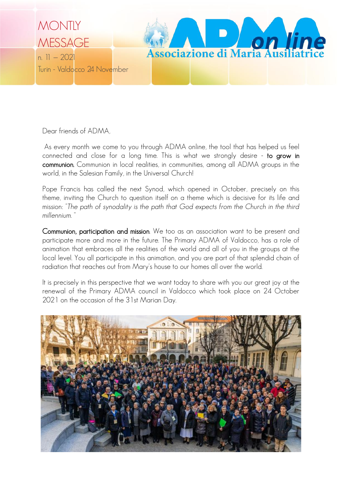

Dear friends of ADMA,

As every month we come to you through ADMA online, the tool that has helped us feel connected and close for a long time. This is what we strongly desire - to grow in communion. Communion in local realities, in communities, among all ADMA groups in the world, in the Salesian Family, in the Universal Church!

Pope Francis has called the next Synod, which opened in October, precisely on this theme, inviting the Church to question itself on a theme which is decisive for its life and mission: *"The path of synodality is the path that God expects from the Church in the third millennium.* "

Communion, participation and mission. We too as an association want to be present and participate more and more in the future. The Primary ADMA of Valdocco, has a role of animation that embraces all the realities of the world and all of you in the groups at the local level. You all participate in this animation, and you are part of that splendid chain of radiation that reaches out from Mary's house to our homes all over the world.

It is precisely in this perspective that we want today to share with you our great joy at the renewal of the Primary ADMA council in Valdocco which took place on 24 October 2021 on the occasion of the 31st Marian Day.

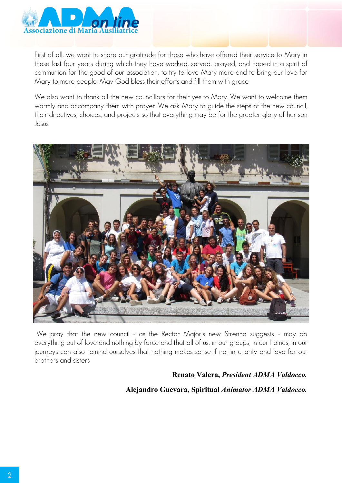

First of all, we want to share our gratitude for those who have offered their service to Mary in these last four years during which they have worked, served, prayed, and hoped in a spirit of communion for the good of our association, to try to love Mary more and to bring our love for Mary to more people. May God bless their efforts and fill them with grace.

We also want to thank all the new councillors for their yes to Mary. We want to welcome them warmly and accompany them with prayer. We ask Mary to guide the steps of the new council, their directives, choices, and projects so that everything may be for the greater glory of her son Jesus.



We pray that the new council - as the Rector Major's new Strenna suggests – may do everything out of love and nothing by force and that all of us, in our groups, in our homes, in our journeys can also remind ourselves that nothing makes sense if not in charity and love for our brothers and sisters.

#### **Renato Valera,** *President ADMA Valdocco.*

### **Alejandro Guevara, Spiritual** *Animator ADMA Valdocco.*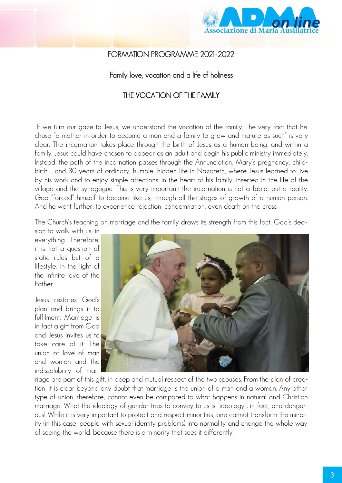

## FORMATION PROGRAMME 2021-2022

### Family love, vocation and a life of holiness

### THE VOCATION OF THE FAMILY

If we turn our gaze to Jesus, we understand the vocation of the family. The very fact that he chose "a mother in order to become a man and a family to grow and mature as such" is very clear. The incarnation takes place through the birth of Jesus as a human being, and within a family. Jesus could have chosen to appear as an adult and begin his public ministry immediately. Instead, the path of the incarnation passes through the Annunciation, Mary's pregnancy, childbirth ... and 30 years of ordinary, humble, hidden life in Nazareth, where Jesus learned to live by his work and to enjoy simple affections. in the heart of his family, inserted in the life of the village and the synagogue. This is very important: the incarnation is not a fable, but a reality. God "forced" himself to become like us, through all the stages of growth of a human person. And he went further, to experience rejection, condemnation, even death on the cross.

The Church's teaching on marriage and the family draws its strength from this fact: God's deci-

sion to walk with us, in everything. Therefore, it is not a question of static rules but of a lifestyle, in the light of the infinite love of the Father.

Jesus restores God's plan and brings it to fulfilment. Marriage is in fact a gift from God and Jesus invites us to take care of it. The union of love of man and woman and the indissolubility of mar-



riage are part of this gift, in deep and mutual respect of the two spouses. From the plan of creation, it is clear beyond any doubt that marriage is the union of a man and a woman. Any other type of union, therefore, cannot even be compared to what happens in natural and Christian marriage. What the ideology of gender tries to convey to us is "ideology", in fact, and dangerous! While it is very important to protect and respect minorities, one cannot transform the minority (in this case, people with sexual identity problems) into normality and change the whole way of seeing the world, because there is a minority that sees it differently.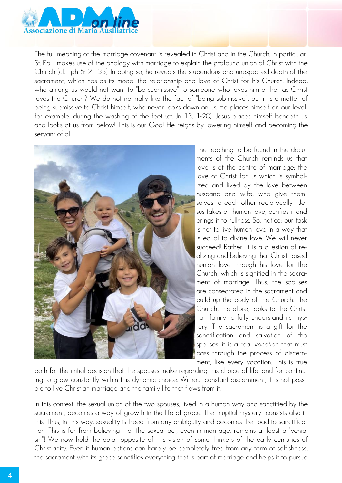

The full meaning of the marriage covenant is revealed in Christ and in the Church. In particular, St. Paul makes use of the analogy with marriage to explain the profound union of Christ with the Church (cf. Eph 5: 21-33). In doing so, he reveals the stupendous and unexpected depth of the sacrament, which has as its model the relationship and love of Christ for his Church. Indeed, who among us would not want to "be submissive" to someone who loves him or her as Christ loves the Church? We do not normally like the fact of "being submissive", but it is a matter of being submissive to Christ himself, who never looks down on us. He places himself on our level, for example, during the washing of the feet (cf. Jn 13, 1-20), Jesus places himself beneath us and looks at us from below! This is our God! He reigns by lowering himself and becoming the servant of all.



The teaching to be found in the documents of the Church reminds us that love is at the centre of marriage: the love of Christ for us which is symbolized and lived by the love between husband and wife, who give themselves to each other reciprocally. Jesus takes on human love, purifies it and brings it to fullness. So, notice: our task is not to live human love in a way that is equal to divine love. We will never succeed! Rather, it is a question of realizing and believing that Christ raised human love through his love for the Church, which is signified in the sacrament of marriage. Thus, the spouses are consecrated in the sacrament and build up the body of the Church. The Church, therefore, looks to the Christian family to fully understand its mystery. The sacrament is a gift for the sanctification and salvation of the spouses: it is a real *vocation* that must pass through the process of discernment, like every vocation. This is true

both for the initial decision that the spouses make regarding this choice of life, and for continuing to grow constantly within this dynamic choice. Without constant discernment, it is not possible to live Christian marriage and the family life that flows from it.

In this context, the sexual union of the two spouses, lived in a human way and sanctified by the sacrament, becomes a way of growth in the life of grace. The "nuptial mystery" consists also in this. Thus, in this way, sexuality is freed from any ambiguity and becomes the road to sanctification. This is far from believing that the sexual act, even in marriage, remains at least a "venial sin"! We now hold the polar opposite of this vision of some thinkers of the early centuries of Christianity. Even if human actions can hardly be completely free from any form of selfishness, the sacrament with its grace sanctifies everything that is part of marriage and helps it to pursue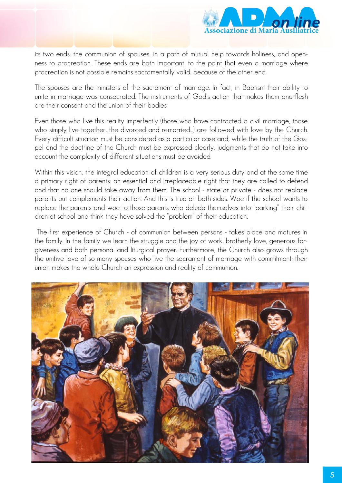

its two ends: the communion of spouses, in a path of mutual help towards holiness, and openness to procreation. These ends are both important, to the point that even a marriage where procreation is not possible remains sacramentally valid, because of the other end.

The spouses are the ministers of the sacrament of marriage. In fact, in Baptism their ability to unite in marriage was consecrated. The instruments of God's action that makes them one flesh are their consent and the union of their bodies.

Even those who live this reality imperfectly (those who have contracted a civil marriage, those who simply live together, the divorced and remarried…) are followed with love by the Church. Every difficult situation must be considered as a particular case and, while the truth of the Gospel and the doctrine of the Church must be expressed clearly, judgments that do not take into account the complexity of different situations must be avoided.

Within this vision, the integral education of children is a very serious duty and at the same time a primary right of parents: an essential and irreplaceable right that they are called to defend and that no one should take away from them. The school - state or private - does not replace parents but complements their action. And this is true on both sides. Woe if the school wants to replace the parents and woe to those parents who delude themselves into "parking" their children at school and think they have solved the "problem" of their education.

The first experience of Church - of communion between persons - takes place and matures in the family. In the family we learn the struggle and the joy of work, brotherly love, generous forgiveness and both personal and liturgical prayer. Furthermore, the Church also grows through the unitive love of so many spouses who live the sacrament of marriage with commitment: their union makes the whole Church an expression and reality of communion.

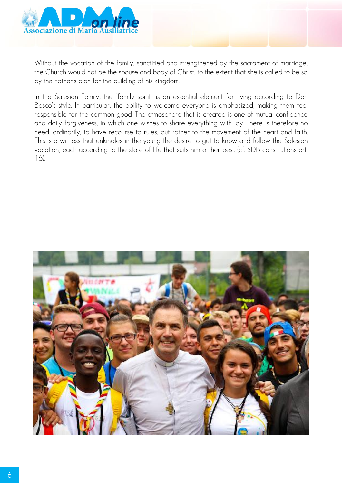

Without the vocation of the family, sanctified and strengthened by the sacrament of marriage, the Church would not be the spouse and body of Christ, to the extent that she is called to be so by the Father's plan for the building of his kingdom.

In the Salesian Family, the "family spirit" is an essential element for living according to Don Bosco's style. In particular, the ability to welcome everyone is emphasized, making them feel responsible for the common good. The atmosphere that is created is one of mutual confidence and daily forgiveness, in which one wishes to share everything with joy. There is therefore no need, ordinarily, to have recourse to rules, but rather to the movement of the heart and faith. This is a witness that enkindles in the young the desire to get to know and follow the Salesian vocation, each according to the state of life that suits him or her best. (cf. SDB constitutions art. 16).

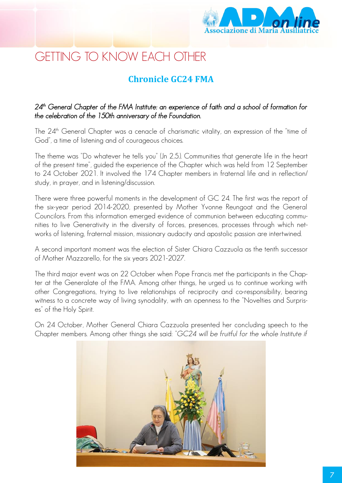

# GETTING TO KNOW EACH OTHER

# **Chronicle GC24 FMA**

### *24th General Chapter of the FMA Institute: an experience of faith and a school of formation for the celebration of the 150th anniversary of the Foundation.*

The 24<sup>th</sup> General Chapter was a cenacle of charismatic vitality, an expression of the "time of God", a time of listening and of courageous choices.

The theme was "Do whatever he tells you" (Jn 2,5.). Communities that generate life in the heart of the present time", guided the experience of the Chapter which was held from 12 September to 24 October 2021. It involved the 174 Chapter members in fraternal life and in reflection/ study, in prayer, and in listening/discussion.

There were three powerful moments in the development of GC 24. The first was the report of the six-year period 2014-2020, presented by Mother Yvonne Reungoat and the General Councilors. From this information emerged evidence of communion between educating communities to live Generativity in the diversity of forces, presences, processes through which networks of listening, fraternal mission, missionary audacity and apostolic passion are intertwined.

A second important moment was the election of Sister Chiara Cazzuola as the tenth successor of Mother Mazzarello, for the six years 2021-2027.

The third major event was on 22 October when Pope Francis met the participants in the Chapter at the Generalate of the FMA. Among other things, he urged us to continue working with other Congregations, trying to live relationships of reciprocity and co-responsibility, bearing witness to a concrete way of living synodality, with an openness to the "Novelties and Surprises" of the Holy Spirit.

On 24 October, Mother General Chiara Cazzuola presented her concluding speech to the Chapter members. Among other things she said: "*GC24 will be fruitful for the whole Institute if* 

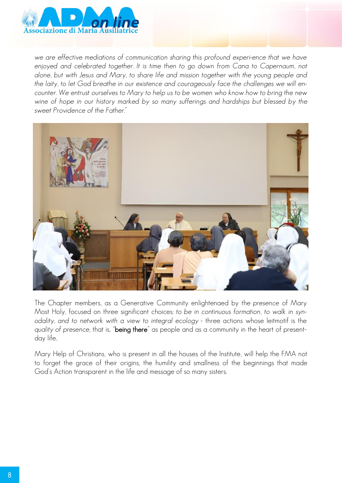

we are effective mediations of communication sharing this profound experi-ence that we have enjoyed and celebrated together. It is time then to go down from Cana to Capernaum, not *alone, but with Jesus and Mary, to share life and mission together with the young people and the laity, to let God breathe in our existence and courageously face the challenges we will encounter. We entrust ourselves to Mary to help us to be women who know how to bring the new wine of hope in our history marked by so many sufferings and hardships but blessed by the sweet Providence of the Father.*"



The Chapter members, as a Generative Community enlightenaed by the *presence* of Mary Most Holy, focused on three significant choices: *to be in continuous formation, to walk in synodality, and to network with a view to integral ecology* - three actions whose leitmotif is the *quality of presence*, that is, "being there" as people and as a community in the heart of presentday life..

Mary Help of Christians, who is present in all the houses of the Institute, will help the FMA not to forget the grace of their origins, the humility and smallness of the beginnings that made God's Action transparent in the life and message of so many sisters.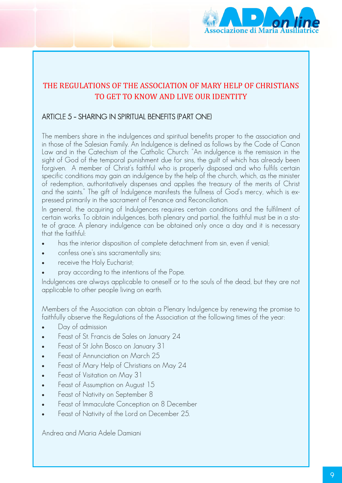

# THE REGULATIONS OF THE ASSOCIATION OF MARY HELP OF CHRISTIANS TO GET TO KNOW AND LIVE OUR IDENTITY

## ARTICLE 5 – SHARING IN SPIRITUAL BENEFITS (PART ONE)

The members share in the indulgences and spiritual benefits proper to the association and in those of the Salesian Family. An Indulgence is defined as follows by the Code of Canon Law and in the Catechism of the Catholic Church: "An indulgence is the remission in the sight of God of the temporal punishment due for sins, the guilt of which has already been forgiven. A member of Christ's faithful who is properly disposed and who fulfils certain specific conditions may gain an indulgence by the help of the church, which, as the minister of redemption, authoritatively dispenses and applies the treasury of the merits of Christ and the saints." The gift of Indulgence manifests the fullness of God's mercy, which is expressed primarily in the sacrament of Penance and Reconciliation.

In general, the acquiring of Indulgences requires certain conditions and the fulfilment of certain works. To obtain indulgences, both plenary and partial, the faithful must be in a state of grace. A plenary indulgence can be obtained only once a day and it is necessary that the faithful:

- has the interior disposition of complete detachment from sin, even if venial;
- confess one's sins sacramentally sins;
- receive the Holy Eucharist;
- pray according to the intentions of the Pope.

Indulgences are always applicable to oneself or to the souls of the dead, but they are not applicable to other people living on earth.

Members of the Association can obtain a Plenary Indulgence by renewing the promise to faithfully observe the Regulations of the Association at the following times of the year:

- Day of admission
- Feast of St. Francis de Sales on January 24
- Feast of St John Bosco on January 31
- Feast of Annunciation on March 25
- Feast of Mary Help of Christians on May 24
- Feast of Visitation on May 31
- Feast of Assumption on August 15
- Feast of Nativity on September 8
- Feast of Immaculate Conception on 8 December
- Feast of Nativity of the Lord on December 25.

Andrea and Maria Adele Damiani